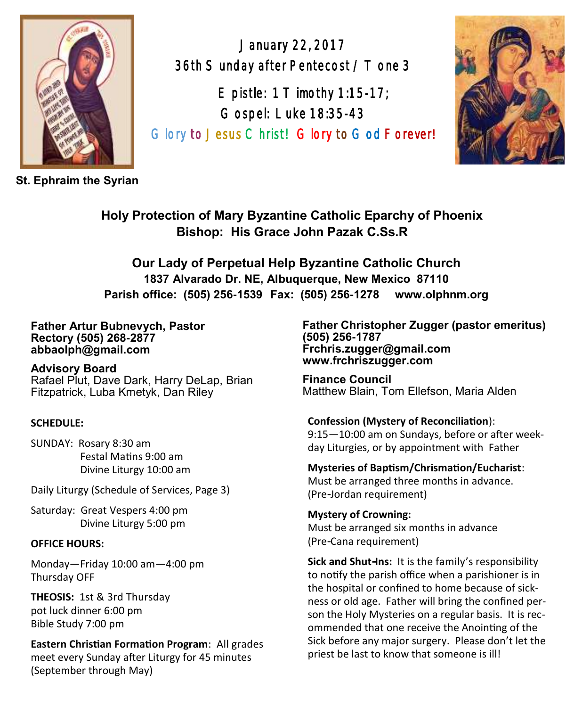

**St. Ephraim the Syrian**

January 22, 2017 36th Sunday after Pentecost / T one 3

E pistle:  $1 T$  imothy  $1:15-17$ ; Gospel: Luke 18:35-43 Glory to Jesus Christ! Glory to God Forever!



**Holy Protection of Mary Byzantine Catholic Eparchy of Phoenix Bishop: His Grace John Pazak C.Ss.R**

**Our Lady of Perpetual Help Byzantine Catholic Church 1837 Alvarado Dr. NE, Albuquerque, New Mexico 87110 Parish office: (505) 256-1539 Fax: (505) 256-1278 www.olphnm.org**

#### **Father Artur Bubnevych, Pastor Rectory (505) 268-2877 abbaolph@gmail.com**

**Advisory Board**  Rafael Plut, Dave Dark, Harry DeLap, Brian Fitzpatrick, Luba Kmetyk, Dan Riley

### **SCHEDULE:**

SUNDAY: Rosary 8:30 am Festal Matins 9:00 am Divine Liturgy 10:00 am

Daily Liturgy (Schedule of Services, Page 3)

Saturday: Great Vespers 4:00 pm Divine Liturgy 5:00 pm

### **OFFICE HOURS:**

Monday—Friday 10:00 am—4:00 pm Thursday OFF

**THEOSIS:** 1st & 3rd Thursday pot luck dinner 6:00 pm Bible Study 7:00 pm

**Eastern Christian Formation Program**: All grades meet every Sunday after Liturgy for 45 minutes (September through May)

**Father Christopher Zugger (pastor emeritus) (505) 256-1787 Frchris.zugger@gmail.com www.frchriszugger.com** 

**Finance Council**  Matthew Blain, Tom Ellefson, Maria Alden

### **Confession (Mystery of Reconciliation**):

9:15—10:00 am on Sundays, before or after weekday Liturgies, or by appointment with Father

### **Mysteries of Baptism/Chrismation/Eucharist**:

Must be arranged three months in advance. (Pre-Jordan requirement)

### **Mystery of Crowning:**

Must be arranged six months in advance (Pre-Cana requirement)

**Sick and Shut-Ins:** It is the family's responsibility to notify the parish office when a parishioner is in the hospital or confined to home because of sickness or old age. Father will bring the confined person the Holy Mysteries on a regular basis. It is recommended that one receive the Anointing of the Sick before any major surgery. Please don't let the priest be last to know that someone is ill!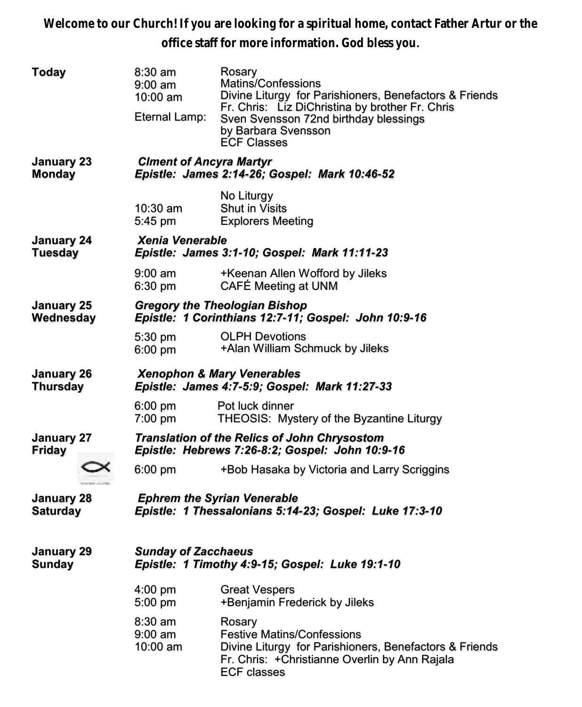**Welcome to our Church! If you are looking for a spiritual home, contact Father Artur or the office staff for more information. God bless you.**

| Today                         | 8:30 am<br>$9:00$ am<br>$10:00$ am<br>Eternal Lamp:                                                    | Rosary<br>Matins/Confessions<br>Divine Liturgy for Parishioners, Benefactors & Friends<br>Fr. Chris: Liz DiChristina by brother Fr. Chris<br>Sven Svensson 72nd birthday blessings<br>by Barbara Svensson<br><b>ECF Classes</b> |  |  |
|-------------------------------|--------------------------------------------------------------------------------------------------------|---------------------------------------------------------------------------------------------------------------------------------------------------------------------------------------------------------------------------------|--|--|
| January 23<br><b>Monday</b>   | <b>Ciment of Ancyra Martyr</b><br>Epistle: James 2:14-26; Gospel: Mark 10:46-52                        |                                                                                                                                                                                                                                 |  |  |
|                               | 10:30 am<br>5:45 pm                                                                                    | No Liturgy<br><b>Shut in Visits</b><br><b>Explorers Meeting</b>                                                                                                                                                                 |  |  |
| January 24<br><b>Tuesday</b>  | Xenia Venerable<br>Epistle: James 3:1-10; Gospel: Mark 11:11-23                                        |                                                                                                                                                                                                                                 |  |  |
|                               | $9:00$ am<br>6:30 pm                                                                                   | +Keenan Allen Wofford by Jileks<br>CAFÉ Meeting at UNM                                                                                                                                                                          |  |  |
| January 25<br>Wednesday       | <b>Gregory the Theologian Bishop</b><br>Epistle: 1 Corinthians 12:7-11; Gospel: John 10:9-16           |                                                                                                                                                                                                                                 |  |  |
|                               | 5:30 pm<br>6:00 pm                                                                                     | <b>OLPH Devotions</b><br>+Alan William Schmuck by Jileks                                                                                                                                                                        |  |  |
| January 26<br><b>Thursday</b> | <b>Xenophon &amp; Mary Venerables</b><br>Epistle: James 4:7-5:9; Gospel: Mark 11:27-33                 |                                                                                                                                                                                                                                 |  |  |
|                               | $6:00$ pm<br>7:00 pm                                                                                   | Pot luck dinner<br>THEOSIS: Mystery of the Byzantine Liturgy                                                                                                                                                                    |  |  |
| January 27<br><b>Friday</b>   | <b>Translation of the Relics of John Chrysostom</b><br>Epistle: Hebrews 7:26-8:2; Gospel: John 10:9-16 |                                                                                                                                                                                                                                 |  |  |
|                               | $6:00$ pm                                                                                              | +Bob Hasaka by Victoria and Larry Scriggins                                                                                                                                                                                     |  |  |
| January 28<br><b>Saturday</b> | <b>Ephrem the Syrian Venerable</b><br>Epistle: 1 Thessalonians 5:14-23; Gospel: Luke 17:3-10           |                                                                                                                                                                                                                                 |  |  |
| January 29<br><b>Sunday</b>   | <b>Sunday of Zacchaeus</b><br>Epistle: 1 Timothy 4:9-15; Gospel: Luke 19:1-10                          |                                                                                                                                                                                                                                 |  |  |
|                               | 4:00 pm<br>5:00 pm                                                                                     | <b>Great Vespers</b><br>+Benjamin Frederick by Jileks                                                                                                                                                                           |  |  |
|                               | 8:30 am<br>$9:00$ am<br>10:00 am                                                                       | Rosary<br><b>Festive Matins/Confessions</b><br>Divine Liturgy for Parishioners, Benefactors & Friends<br>Fr. Chris: +Christianne Overlin by Ann Rajala<br><b>ECF classes</b>                                                    |  |  |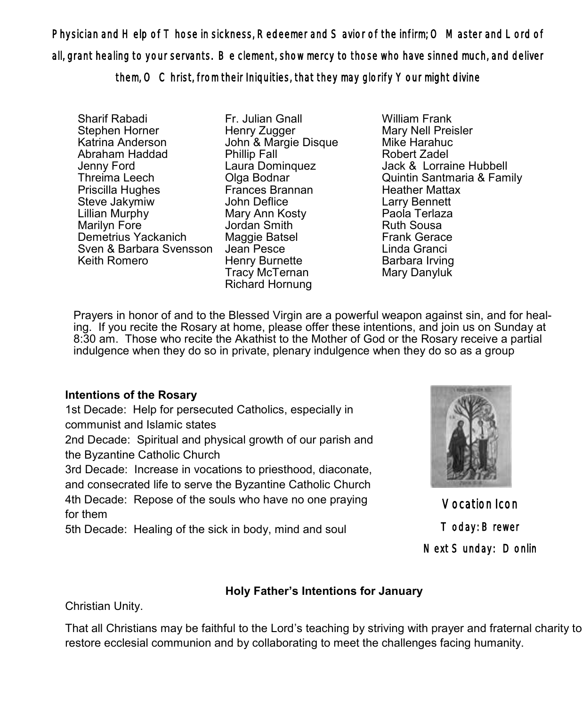Physician and Help of Those in sickness, Redeemer and Savior of the infirm; O Master and Lord of all, grant healing to your servants. Be clement, show mercy to those who have sinned much, and deliver

them, O Christ, from their Iniquities, that they may glorify Your might divine

Sharif Rabadi Stephen Horner Katrina Anderson Abraham Haddad Jenny Ford Threima Leech Priscilla Hughes Steve Jakymiw Lillian Murphy Marilyn Fore Demetrius Yackanich Sven & Barbara Svensson Jean Pesce Keith Romero

Fr. Julian Gnall Henry Zugger John & Margie Disque Phillip Fall Laura Dominquez Olga Bodnar Frances Brannan John Deflice Mary Ann Kosty Jordan Smith Maggie Batsel Henry Burnette Tracy McTernan Richard Hornung

William Frank Mary Nell Preisler Mike Harahuc Robert Zadel Jack & Lorraine Hubbell Quintin Santmaria & Family Heather Mattax Larry Bennett Paola Terlaza Ruth Sousa Frank Gerace Linda Granci Barbara Irving Mary Danyluk

 Prayers in honor of and to the Blessed Virgin are a powerful weapon against sin, and for healing. If you recite the Rosary at home, please offer these intentions, and join us on Sunday at 8:30 am. Those who recite the Akathist to the Mother of God or the Rosary receive a partial indulgence when they do so in private, plenary indulgence when they do so as a group

## **Intentions of the Rosary**

1st Decade: Help for persecuted Catholics, especially in communist and Islamic states

2nd Decade: Spiritual and physical growth of our parish and the Byzantine Catholic Church

3rd Decade: Increase in vocations to priesthood, diaconate, and consecrated life to serve the Byzantine Catholic Church 4th Decade: Repose of the souls who have no one praying for them

5th Decade: Healing of the sick in body, mind and soul



Vocation Icon Today: Brewer Next Sunday: Donlin

## **Holy Father's Intentions for January**

Christian Unity.

That all Christians may be faithful to the Lord's teaching by striving with prayer and fraternal charity to restore ecclesial communion and by collaborating to meet the challenges facing humanity.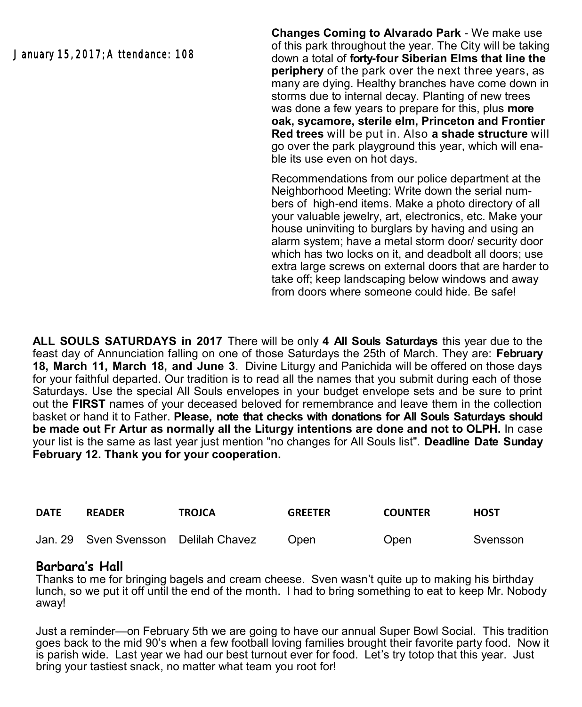January 15, 2017; Attendance: 108

**Changes Coming to Alvarado Park** - We make use of this park throughout the year. The City will be taking down a total of **forty-four Siberian Elms that line the periphery** of the park over the next three years, as many are dying. Healthy branches have come down in storms due to internal decay. Planting of new trees was done a few years to prepare for this, plus **more oak, sycamore, sterile elm, Princeton and Frontier Red trees** will be put in. Also **a shade structure** will go over the park playground this year, which will enable its use even on hot days.

Recommendations from our police department at the Neighborhood Meeting: Write down the serial numbers of high-end items. Make a photo directory of all your valuable jewelry, art, electronics, etc. Make your house uninviting to burglars by having and using an alarm system; have a metal storm door/ security door which has two locks on it, and deadbolt all doors; use extra large screws on external doors that are harder to take off; keep landscaping below windows and away from doors where someone could hide. Be safe!

**ALL SOULS SATURDAYS in 2017** There will be only **4 All Souls Saturdays** this year due to the feast day of Annunciation falling on one of those Saturdays the 25th of March. They are: **February 18, March 11, March 18, and June 3**. Divine Liturgy and Panichida will be offered on those days for your faithful departed. Our tradition is to read all the names that you submit during each of those Saturdays. Use the special All Souls envelopes in your budget envelope sets and be sure to print out the **FIRST** names of your deceased beloved for remembrance and leave them in the collection basket or hand it to Father. **Please, note that checks with donations for All Souls Saturdays should be made out Fr Artur as normally all the Liturgy intentions are done and not to OLPH.** In case your list is the same as last year just mention "no changes for All Souls list". **Deadline Date Sunday February 12. Thank you for your cooperation.**

| <b>DATE</b> | <b>READER</b>                        | <b>TROJCA</b> | <b>GREETER</b> | <b>COUNTER</b> | <b>HOST</b> |
|-------------|--------------------------------------|---------------|----------------|----------------|-------------|
|             | Jan. 29 Sven Svensson Delilah Chavez |               | Open           | Open           | Svensson    |

## **Barbara's Hall**

Thanks to me for bringing bagels and cream cheese. Sven wasn't quite up to making his birthday lunch, so we put it off until the end of the month. I had to bring something to eat to keep Mr. Nobody away!

Just a reminder—on February 5th we are going to have our annual Super Bowl Social. This tradition goes back to the mid 90's when a few football loving families brought their favorite party food. Now it is parish wide. Last year we had our best turnout ever for food. Let's try totop that this year. Just bring your tastiest snack, no matter what team you root for!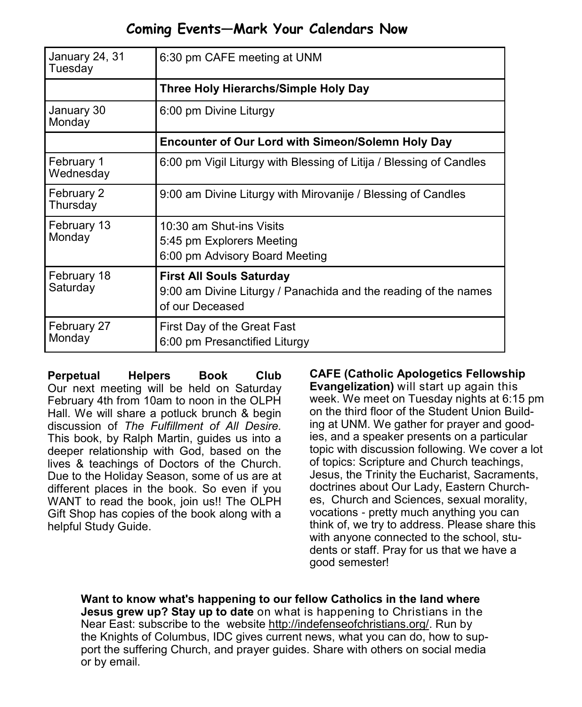# **Coming Events—Mark Your Calendars Now**

| January 24, 31<br>Tuesday | 6:30 pm CAFE meeting at UNM                                                                                           |  |
|---------------------------|-----------------------------------------------------------------------------------------------------------------------|--|
|                           | <b>Three Holy Hierarchs/Simple Holy Day</b>                                                                           |  |
| January 30<br>Monday      | 6:00 pm Divine Liturgy                                                                                                |  |
|                           | <b>Encounter of Our Lord with Simeon/Solemn Holy Day</b>                                                              |  |
| February 1<br>Wednesday   | 6:00 pm Vigil Liturgy with Blessing of Litija / Blessing of Candles                                                   |  |
| February 2<br>Thursday    | 9:00 am Divine Liturgy with Mirovanije / Blessing of Candles                                                          |  |
| February 13<br>Monday     | 10:30 am Shut-ins Visits<br>5:45 pm Explorers Meeting<br>6:00 pm Advisory Board Meeting                               |  |
| February 18<br>Saturday   | <b>First All Souls Saturday</b><br>9:00 am Divine Liturgy / Panachida and the reading of the names<br>of our Deceased |  |
| February 27<br>Monday     | First Day of the Great Fast<br>6:00 pm Presanctified Liturgy                                                          |  |

**Perpetual Helpers Book Club** Our next meeting will be held on Saturday February 4th from 10am to noon in the OLPH Hall. We will share a potluck brunch & begin discussion of *The Fulfillment of All Desire.*  This book, by Ralph Martin, guides us into a deeper relationship with God, based on the lives & teachings of Doctors of the Church. Due to the Holiday Season, some of us are at different places in the book. So even if you WANT to read the book, join us!! The OLPH Gift Shop has copies of the book along with a helpful Study Guide.

**CAFE (Catholic Apologetics Fellowship Evangelization)** will start up again this week. We meet on Tuesday nights at 6:15 pm on the third floor of the Student Union Building at UNM. We gather for prayer and goodies, and a speaker presents on a particular topic with discussion following. We cover a lot of topics: Scripture and Church teachings, Jesus, the Trinity the Eucharist, Sacraments, doctrines about Our Lady, Eastern Churches, Church and Sciences, sexual morality, vocations - pretty much anything you can think of, we try to address. Please share this with anyone connected to the school, students or staff. Pray for us that we have a good semester!

**Want to know what's happening to our fellow Catholics in the land where Jesus grew up? Stay up to date** on what is happening to Christians in the Near East: subscribe to the website [http://indefenseofchristians.org/.](http://indefenseofchristians.org/) Run by the Knights of Columbus, IDC gives current news, what you can do, how to support the suffering Church, and prayer guides. Share with others on social media or by email.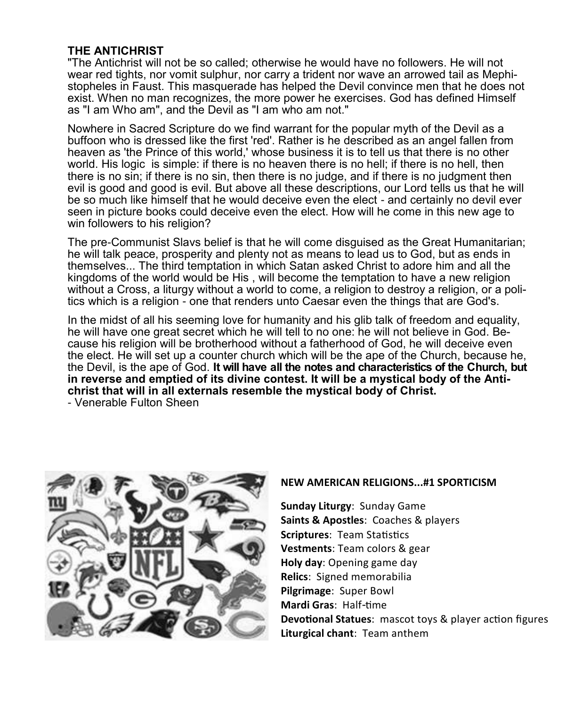### **THE ANTICHRIST**

"The Antichrist will not be so called; otherwise he would have no followers. He will not wear red tights, nor vomit sulphur, nor carry a trident nor wave an arrowed tail as Mephistopheles in Faust. This masquerade has helped the Devil convince men that he does not exist. When no man recognizes, the more power he exercises. God has defined Himself as "I am Who am", and the Devil as "I am who am not."

Nowhere in Sacred Scripture do we find warrant for the popular myth of the Devil as a buffoon who is dressed like the first 'red'. Rather is he described as an angel fallen from heaven as 'the Prince of this world,' whose business it is to tell us that there is no other world. His logic is simple: if there is no heaven there is no hell; if there is no hell, then there is no sin; if there is no sin, then there is no judge, and if there is no judgment then evil is good and good is evil. But above all these descriptions, our Lord tells us that he will be so much like himself that he would deceive even the elect - and certainly no devil ever seen in picture books could deceive even the elect. How will he come in this new age to win followers to his religion?

The pre-Communist Slavs belief is that he will come disguised as the Great Humanitarian; he will talk peace, prosperity and plenty not as means to lead us to God, but as ends in themselves... The third temptation in which Satan asked Christ to adore him and all the kingdoms of the world would be His , will become the temptation to have a new religion without a Cross, a liturgy without a world to come, a religion to destroy a religion, or a politics which is a religion - one that renders unto Caesar even the things that are God's.

In the midst of all his seeming love for humanity and his glib talk of freedom and equality, he will have one great secret which he will tell to no one: he will not believe in God. Because his religion will be brotherhood without a fatherhood of God, he will deceive even the elect. He will set up a counter church which will be the ape of the Church, because he, the Devil, is the ape of God. **It will have all the notes and characteristics of the Church, but in reverse and emptied of its divine contest. It will be a mystical body of the Antichrist that will in all externals resemble the mystical body of Christ.**

- Venerable Fulton Sheen



#### **NEW AMERICAN RELIGIONS...#1 SPORTICISM**

**Sunday Liturgy**: Sunday Game **Saints & Apostles**: Coaches & players **Scriptures**: Team Statistics **Vestments**: Team colors & gear **Holy day**: Opening game day **Relics**: Signed memorabilia **Pilgrimage**: Super Bowl **Mardi Gras**: Half-time **Devotional Statues**: mascot toys & player action figures **Liturgical chant**: Team anthem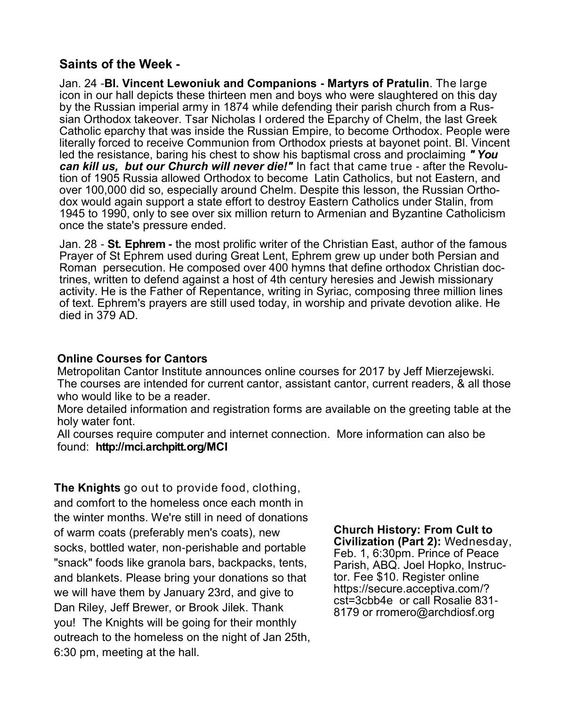### **Saints of the Week -**

Jan. 24 -**Bl. Vincent Lewoniuk and Companions - Martyrs of Pratulin**. The large icon in our hall depicts these thirteen men and boys who were slaughtered on this day by the Russian imperial army in 1874 while defending their parish church from a Russian Orthodox takeover. Tsar Nicholas I ordered the Eparchy of Chelm, the last Greek Catholic eparchy that was inside the Russian Empire, to become Orthodox. People were literally forced to receive Communion from Orthodox priests at bayonet point. Bl. Vincent led the resistance, baring his chest to show his baptismal cross and proclaiming *" You can kill us, but our Church will never die!"* In fact that came true - after the Revolution of 1905 Russia allowed Orthodox to become Latin Catholics, but not Eastern, and over 100,000 did so, especially around Chelm. Despite this lesson, the Russian Orthodox would again support a state effort to destroy Eastern Catholics under Stalin, from 1945 to 1990, only to see over six million return to Armenian and Byzantine Catholicism once the state's pressure ended.

Jan. 28 - **St. Ephrem -** the most prolific writer of the Christian East, author of the famous Prayer of St Ephrem used during Great Lent, Ephrem grew up under both Persian and Roman persecution. He composed over 400 hymns that define orthodox Christian doctrines, written to defend against a host of 4th century heresies and Jewish missionary activity. He is the Father of Repentance, writing in Syriac, composing three million lines of text. Ephrem's prayers are still used today, in worship and private devotion alike. He died in 379 AD.

### **Online Courses for Cantors**

Metropolitan Cantor Institute announces online courses for 2017 by Jeff Mierzejewski. The courses are intended for current cantor, assistant cantor, current readers, & all those who would like to be a reader.

More detailed information and registration forms are available on the greeting table at the holy water font.

All courses require computer and internet connection. More information can also be found: **http://mci.archpitt.org/MCI**

**The Knights** go out to provide food, clothing, and comfort to the homeless once each month in the winter months. We're still in need of donations of warm coats (preferably men's coats), new socks, bottled water, non-perishable and portable "snack" foods like granola bars, backpacks, tents, and blankets. Please bring your donations so that we will have them by January 23rd, and give to Dan Riley, Jeff Brewer, or Brook Jilek. Thank you! The Knights will be going for their monthly outreach to the homeless on the night of Jan 25th, 6:30 pm, meeting at the hall.

**Church History: From Cult to Civilization (Part 2):** Wednesday, Feb. 1, 6:30pm. Prince of Peace Parish, ABQ. Joel Hopko, Instructor. Fee \$10. Register online [https://secure.acceptiva.com/?](https://secure.acceptiva.com/?cst=3cbb4e) [cst=3cbb4e](https://secure.acceptiva.com/?cst=3cbb4e) or call Rosalie 831- 8179 or [rromero@archdiosf.org](mailto:rromero@archdiosf.org)